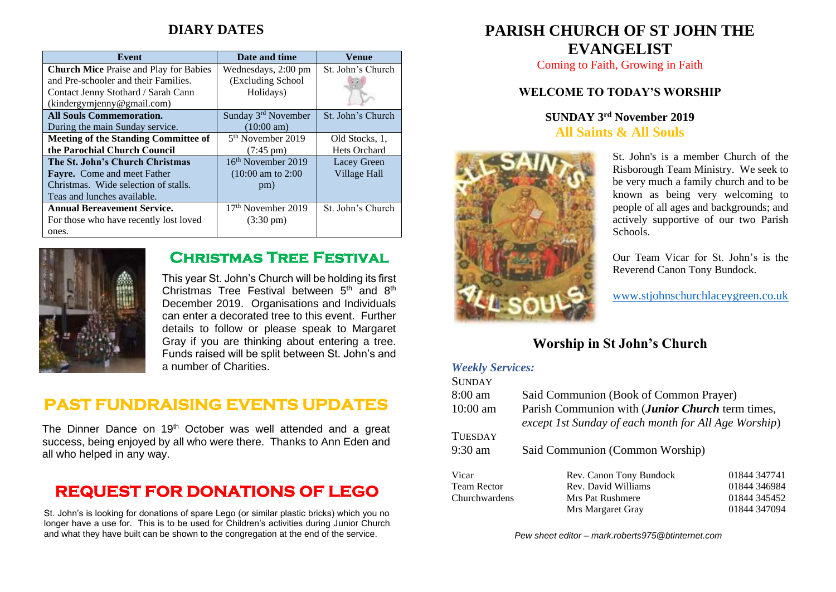## **DIARY DATES**

| Event                                         | Date and time                  | Venue             |
|-----------------------------------------------|--------------------------------|-------------------|
| <b>Church Mice Praise and Play for Babies</b> | Wednesdays, 2:00 pm            | St. John's Church |
| and Pre-schooler and their Families.          | (Excluding School              |                   |
| Contact Jenny Stothard / Sarah Cann           | Holidays)                      |                   |
| (kindergymjenny@gmail.com)                    |                                |                   |
| <b>All Souls Commemoration.</b>               | Sunday 3rd November            | St. John's Church |
| During the main Sunday service.               | $(10:00 \text{ am})$           |                   |
| <b>Meeting of the Standing Committee of</b>   | 5 <sup>th</sup> November 2019  | Old Stocks, 1.    |
| the Parochial Church Council                  | $(7:45 \text{ pm})$            | Hets Orchard      |
| The St. John's Church Christmas               | $16th$ November 2019           | Lacey Green       |
| <b>Fayre.</b> Come and meet Father            | $(10:00 \text{ am to } 2:00$   | Village Hall      |
| Christmas. Wide selection of stalls.          | pm)                            |                   |
| Teas and lunches available.                   |                                |                   |
| <b>Annual Bereavement Service.</b>            | 17 <sup>th</sup> November 2019 | St. John's Church |
| For those who have recently lost loved        | $(3:30 \text{ pm})$            |                   |
| ones.                                         |                                |                   |



## **Christmas Tree Festival**

This year St. John's Church will be holding its first Christmas Tree Festival between  $5<sup>th</sup>$  and  $8<sup>th</sup>$ December 2019. Organisations and Individuals can enter a decorated tree to this event. Further details to follow or please speak to Margaret Gray if you are thinking about entering a tree. Funds raised will be split between St. John's and a number of Charities.

# **PAST FUNDRAISING EVENTS UPDATES**

The Dinner Dance on 19<sup>th</sup> October was well attended and a great success, being enjoyed by all who were there. Thanks to Ann Eden and all who helped in any way.

# **REQUEST FOR DONATIONS OF LEGO**

St. John's is looking for donations of spare Lego (or similar plastic bricks) which you no longer have a use for. This is to be used for Children's activities during Junior Church and what they have built can be shown to the congregation at the end of the service.

# **PARISH CHURCH OF ST JOHN THE EVANGELIST**

Coming to Faith, Growing in Faith

#### **WELCOME TO TODAY'S WORSHIP**

## **SUNDAY 3 rd November 2019 All Saints & All Souls**



St. John's is a member Church of the Risborough Team Ministry. We seek to be very much a family church and to be known as being very welcoming to people of all ages and backgrounds; and actively supportive of our two Parish Schools.

Our Team Vicar for St. John's is the Reverend Canon Tony Bundock.

[www.stjohnschurchlaceygreen.co.uk](http://www.stjohnschurchlaceygreen.co.uk/)

## **Worship in St John's Church**

#### *Weekly Services:*  $S = \frac{1}{2}$

| SUNDAY             |                                                      |              |  |
|--------------------|------------------------------------------------------|--------------|--|
| $8:00$ am          | Said Communion (Book of Common Prayer)               |              |  |
| $10:00$ am         | Parish Communion with (Junior Church term times,     |              |  |
|                    | except 1st Sunday of each month for All Age Worship) |              |  |
| <b>TUESDAY</b>     |                                                      |              |  |
| $9:30$ am          | Said Communion (Common Worship)                      |              |  |
|                    |                                                      |              |  |
| Vicar              | Rev. Canon Tony Bundock                              | 01844 347741 |  |
| <b>Team Rector</b> | Rev. David Williams                                  | 01844 346984 |  |
| Churchwardens      | Mrs Pat Rushmere                                     | 01844 345452 |  |
|                    | Mrs Margaret Gray                                    | 01844 347094 |  |

*Pew sheet editor – mark.roberts975@btinternet.com*